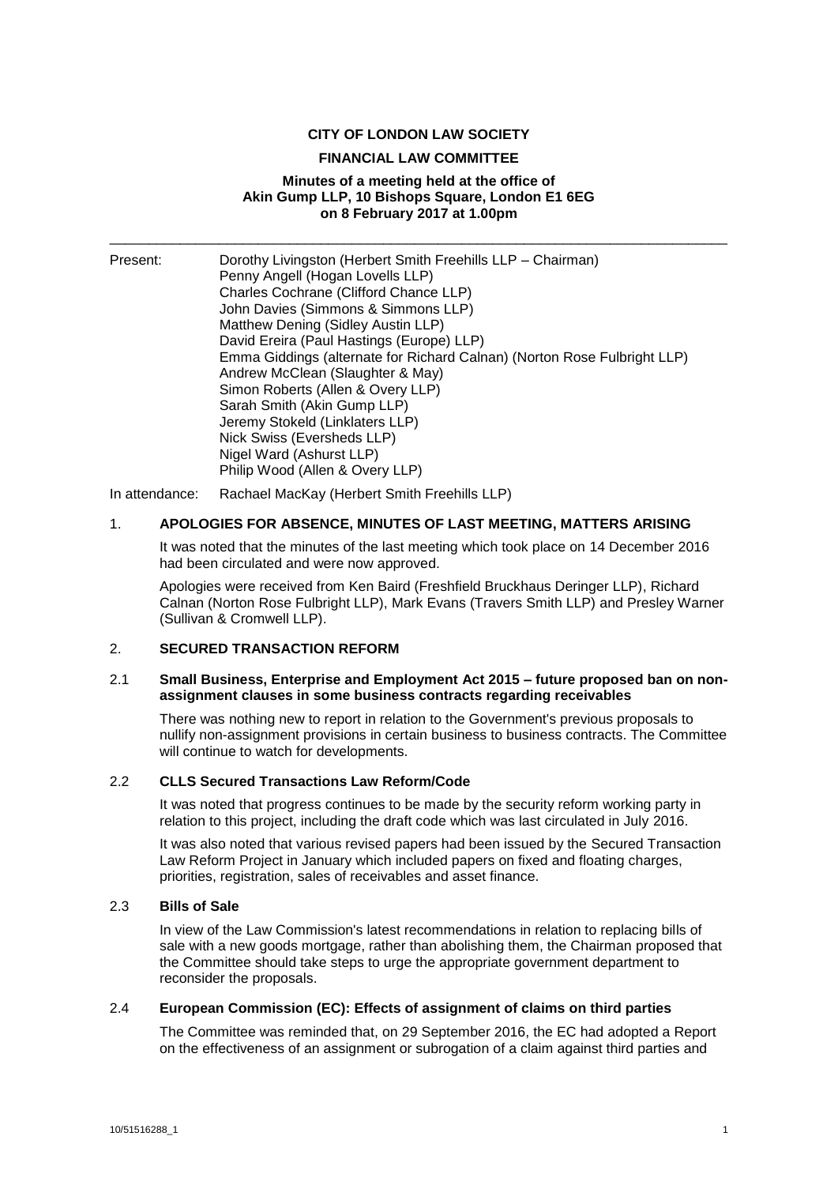#### **CITY OF LONDON LAW SOCIETY**

#### **FINANCIAL LAW COMMITTEE**

#### **Minutes of a meeting held at the office of Akin Gump LLP, 10 Bishops Square, London E1 6EG on 8 February 2017 at 1.00pm**

\_\_\_\_\_\_\_\_\_\_\_\_\_\_\_\_\_\_\_\_\_\_\_\_\_\_\_\_\_\_\_\_\_\_\_\_\_\_\_\_\_\_\_\_\_\_\_\_\_\_\_\_\_\_\_\_\_\_\_\_\_\_\_\_\_\_\_\_\_\_\_\_\_\_\_\_\_\_\_

| Present: | Dorothy Livingston (Herbert Smith Freehills LLP - Chairman)              |
|----------|--------------------------------------------------------------------------|
|          | Penny Angell (Hogan Lovells LLP)                                         |
|          | Charles Cochrane (Clifford Chance LLP)                                   |
|          | John Davies (Simmons & Simmons LLP)                                      |
|          | Matthew Dening (Sidley Austin LLP)                                       |
|          | David Ereira (Paul Hastings (Europe) LLP)                                |
|          | Emma Giddings (alternate for Richard Calnan) (Norton Rose Fulbright LLP) |
|          | Andrew McClean (Slaughter & May)                                         |
|          | Simon Roberts (Allen & Overy LLP)                                        |
|          | Sarah Smith (Akin Gump LLP)                                              |
|          | Jeremy Stokeld (Linklaters LLP)                                          |
|          | Nick Swiss (Eversheds LLP)                                               |
|          | Nigel Ward (Ashurst LLP)                                                 |
|          | Philip Wood (Allen & Overy LLP)                                          |

In attendance: Rachael MacKay (Herbert Smith Freehills LLP)

## 1. **APOLOGIES FOR ABSENCE, MINUTES OF LAST MEETING, MATTERS ARISING**

It was noted that the minutes of the last meeting which took place on 14 December 2016 had been circulated and were now approved.

Apologies were received from Ken Baird (Freshfield Bruckhaus Deringer LLP), Richard Calnan (Norton Rose Fulbright LLP), Mark Evans (Travers Smith LLP) and Presley Warner (Sullivan & Cromwell LLP).

#### 2. **SECURED TRANSACTION REFORM**

#### 2.1 **Small Business, Enterprise and Employment Act 2015 – future proposed ban on nonassignment clauses in some business contracts regarding receivables**

There was nothing new to report in relation to the Government's previous proposals to nullify non-assignment provisions in certain business to business contracts. The Committee will continue to watch for developments.

# 2.2 **CLLS Secured Transactions Law Reform/Code**

It was noted that progress continues to be made by the security reform working party in relation to this project, including the draft code which was last circulated in July 2016.

It was also noted that various revised papers had been issued by the Secured Transaction Law Reform Project in January which included papers on fixed and floating charges, priorities, registration, sales of receivables and asset finance.

## 2.3 **Bills of Sale**

In view of the Law Commission's latest recommendations in relation to replacing bills of sale with a new goods mortgage, rather than abolishing them, the Chairman proposed that the Committee should take steps to urge the appropriate government department to reconsider the proposals.

## 2.4 **European Commission (EC): Effects of assignment of claims on third parties**

The Committee was reminded that, on 29 September 2016, the EC had adopted a Report on the effectiveness of an assignment or subrogation of a claim against third parties and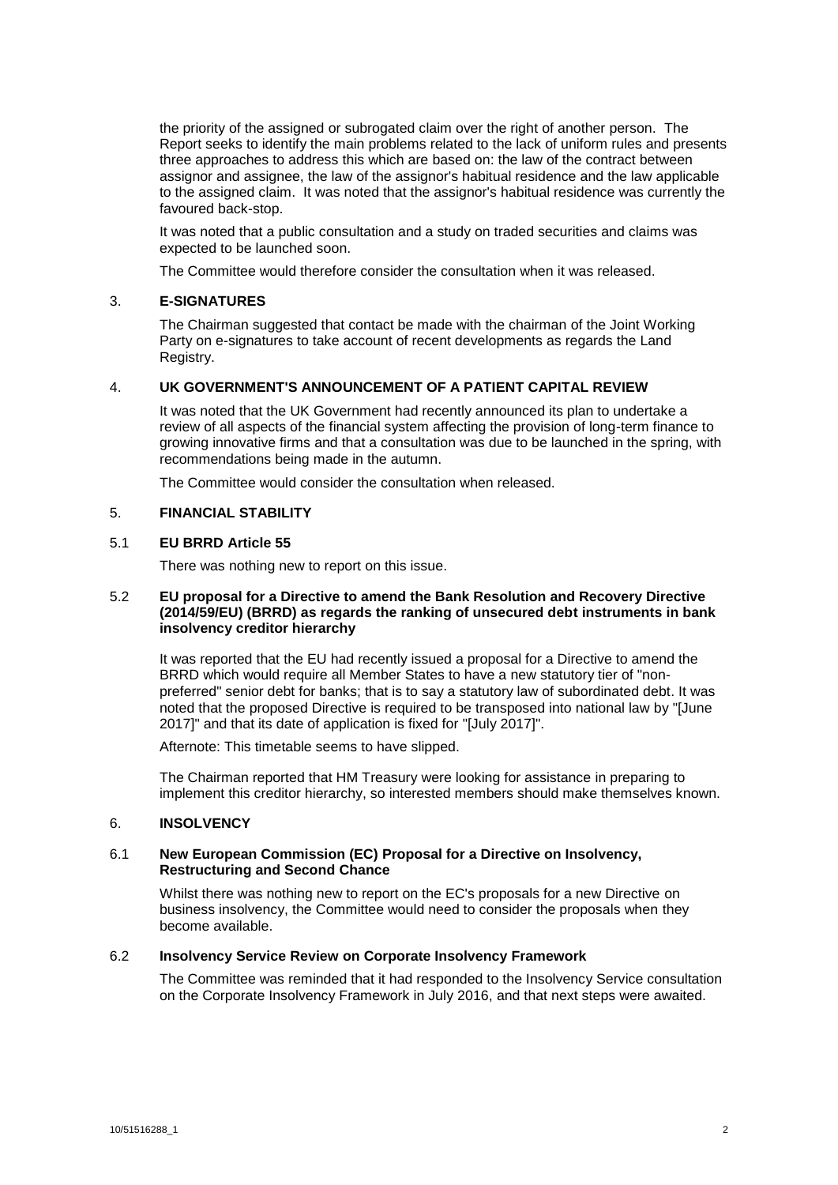the priority of the assigned or subrogated claim over the right of another person. The Report seeks to identify the main problems related to the lack of uniform rules and presents three approaches to address this which are based on: the law of the contract between assignor and assignee, the law of the assignor's habitual residence and the law applicable to the assigned claim. It was noted that the assignor's habitual residence was currently the favoured back-stop.

It was noted that a public consultation and a study on traded securities and claims was expected to be launched soon.

The Committee would therefore consider the consultation when it was released.

# 3. **E-SIGNATURES**

The Chairman suggested that contact be made with the chairman of the Joint Working Party on e-signatures to take account of recent developments as regards the Land Registry.

## 4. **UK GOVERNMENT'S ANNOUNCEMENT OF A PATIENT CAPITAL REVIEW**

It was noted that the UK Government had recently announced its plan to undertake a review of all aspects of the financial system affecting the provision of long-term finance to growing innovative firms and that a consultation was due to be launched in the spring, with recommendations being made in the autumn.

The Committee would consider the consultation when released.

## 5. **FINANCIAL STABILITY**

#### 5.1 **EU BRRD Article 55**

There was nothing new to report on this issue.

#### 5.2 **EU proposal for a Directive to amend the Bank Resolution and Recovery Directive (2014/59/EU) (BRRD) as regards the ranking of unsecured debt instruments in bank insolvency creditor hierarchy**

It was reported that the EU had recently issued a proposal for a Directive to amend the BRRD which would require all Member States to have a new statutory tier of "nonpreferred" senior debt for banks; that is to say a statutory law of subordinated debt. It was noted that the proposed Directive is required to be transposed into national law by "[June 2017]" and that its date of application is fixed for "[July 2017]".

Afternote: This timetable seems to have slipped.

The Chairman reported that HM Treasury were looking for assistance in preparing to implement this creditor hierarchy, so interested members should make themselves known.

## 6. **INSOLVENCY**

## 6.1 **New European Commission (EC) Proposal for a Directive on Insolvency, Restructuring and Second Chance**

Whilst there was nothing new to report on the EC's proposals for a new Directive on business insolvency, the Committee would need to consider the proposals when they become available.

#### 6.2 **Insolvency Service Review on Corporate Insolvency Framework**

The Committee was reminded that it had responded to the Insolvency Service consultation on the Corporate Insolvency Framework in July 2016, and that next steps were awaited.